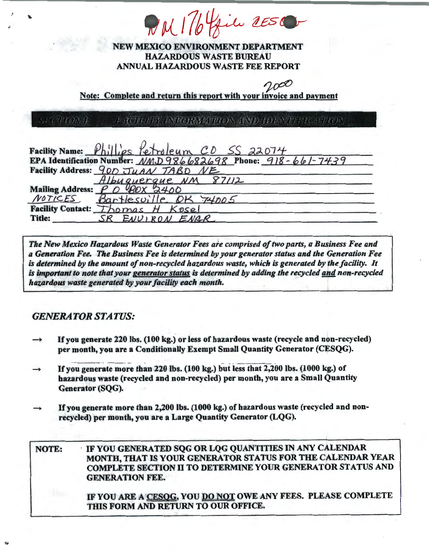DMI76 Gil 2ESC

## NEW MEXICO ENVIRONMENT DEPARTMENT HAZARDOUS WASTE BUREAU ANNUAL HAZARDOUS WASTE FEE REPORT

Note: Complete and return this report with your invoice and payment

SECTIONAL FACILITIST INFORMATION AWD TO ENTERTACATEDY

|        | Facility Name: Phillips Petroleum CD SS 22074<br>EPA Identification Number: NMD986682698 Phone: 918-661-7439 |
|--------|--------------------------------------------------------------------------------------------------------------|
|        |                                                                                                              |
|        | Facility Address: 900 JUAN TABD NE                                                                           |
|        | Albuquerque NM 87112                                                                                         |
|        | Mailing Address: $P$ $O$ $90 \times 2400$                                                                    |
|        | NOTICES Bartlesville OK 74005                                                                                |
|        | Facility Contact: Thomas H Kosel                                                                             |
| Title: | SR ENVIRON ENGR                                                                                              |

*The New Mexico Hazardous Waste Generator Fees are comprised of two parts, a Business Fee and a Generation Fee. The Business Fee is determined by your generator status and the Generation Fee is determined by the amount of non-recycled hazardous waste, which* is *generated by the facility. It*  is *important to note that your generator status* is *determined by adding the recycled and non-recycled hazardous waste generated by your facility each month.* 

# *GENERATOR STATUS:*

- If you generate 220 lbs. (100 kg.) or less of hazardous waste (recycle and non-recycled) per month, you are a Conditionally Exempt Small Quantity Generator (CESQG).
- $\rightarrow$ If you generate more than 220 lbs. (100 kg.) but less that 2,200 lbs. (1000 kg.) of hazardous waste (recycled and non-recycled) per month, you are a Small Quantity Generator (SQG).
- If you generate more than 2,200 lbs. (1000 kg.) of hazardous waste (recycled and nonrecycled) per month, you are a Large Quantity Generator (LQG).

NOTE: IF YOU GENERA TED SQG OR LQG QUANTITIES IN ANY CALENDAR MONTH, THAT IS YOUR GENERATOR STATUS FOR THE CALENDAR YEAR COMPLETE SECTION II TO DETERMINE YOUR GENERA TOR STATUS AND GENERATION FEE. IF YOU ARE A CESOG, YOU DO NOT OWE ANY FEES. PLEASE COMPLETE THIS FORM AND RETURN TO OUR OFFICE.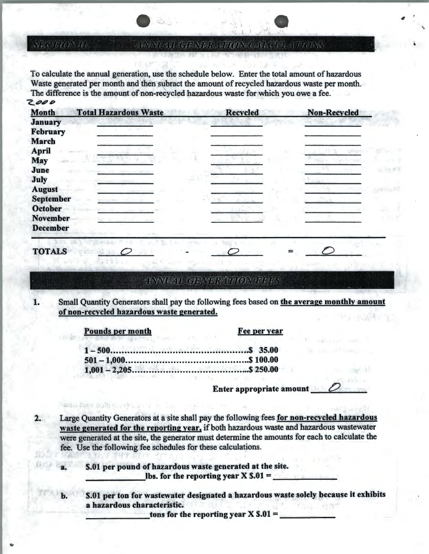#### ANNOAU GENERATION CARCULATIONS

To calculate the annual generation, use the schedule below. Enter the total amount of hazardous Waste generated per month and then subract the amount of recycled hazardous waste per month. The difference is the amount of non-recycled hazardous waste for which you owe a fee. 2000

| Month           | <b>Total Hazardous Waste</b> | <b>Recycled</b> | <b>Non-Recycled</b> |
|-----------------|------------------------------|-----------------|---------------------|
| <b>January</b>  |                              |                 |                     |
| February        |                              |                 |                     |
| <b>March</b>    |                              |                 |                     |
| <b>April</b>    |                              |                 |                     |
| <b>May</b>      |                              |                 | <b>DES</b>          |
| June            |                              |                 |                     |
| July            |                              |                 |                     |
| <b>August</b>   |                              |                 |                     |
| September       |                              |                 |                     |
| <b>October</b>  |                              |                 |                     |
| <b>November</b> |                              |                 |                     |
| <b>December</b> |                              |                 |                     |

# **TOTALS**

**SECHRONIE** 

### **ZENNEMI GENNERZTELONIFERS**

Small Quantity Generators shall pay the following fees based on the average monthly amount 1. of non-recycled hazardous waste generated.

Pounds per month

FEEL RAIL DUPLIC TO THE U.S.

Fee per year

Enter appropriate amount  $\Box$ 

Large Quantity Generators at a site shall pay the following fees for non-recycled hazardous waste generated for the reporting year, if both hazardous waste and hazardous wastewater were generated at the site, the generator must determine the amounts for each to calculate the fee. Use the following fee schedules for these calculations.

> \$.01 per pound of hazardous waste generated at the site. lbs. for the reporting year  $X \$ \$.01 =

\$.01 per ton for wastewater designated a hazardous waste solely because it exhibits a hazardous characteristic.  $-210$ 

tons for the reporting year X  $\$.01 =$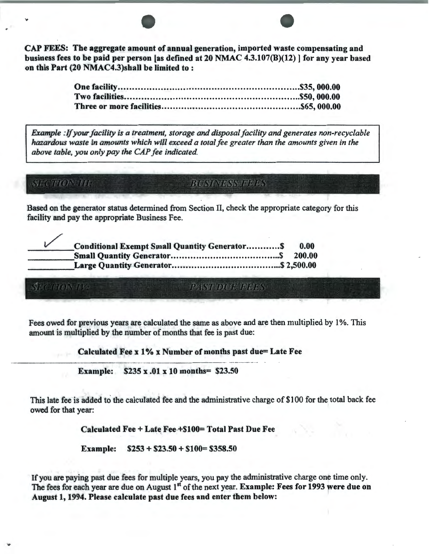CAP FEES: The aggregate amount of annual generation, imported waste compensating and business fees to be paid per person [as defined at 20 NMAC 4.3.107(B)(l2)] for any year based on this Part (20 NMAC4.3)shall be limited to :

*Example :If your facility is a treatment, storage and disposal facility and generates non-recyclable hazardous waste in amounts which will exceed a total fee greater than the amounts given in the above table, you only pay the CAP fee indicated.* 

**SECTION IV** 

 $\frac{1}{2}$ ,  $\frac{1}{2}$ ,  $\frac{1}{2}$ ,  $\frac{1}{2}$ ,  $\frac{1}{2}$ ,  $\frac{1}{2}$ ,  $\frac{1}{2}$ ,  $\frac{1}{2}$ ,  $\frac{1}{2}$ ,  $\frac{1}{2}$ ,  $\frac{1}{2}$ ,  $\frac{1}{2}$ ,  $\frac{1}{2}$ ,  $\frac{1}{2}$ ,  $\frac{1}{2}$ ,  $\frac{1}{2}$ ,  $\frac{1}{2}$ ,  $\frac{1}{2}$ ,  $\frac{1}{2}$ ,  $\frac{1}{2}$ ,

**PASY DUDIDINS** 

Based on the generator status determined from Section II, check the appropriate category for this facility and pay the appropriate Business Fee.

| <b>Conditional Exempt Small Quantity Generator S</b> | 0.00   |
|------------------------------------------------------|--------|
|                                                      | 200.00 |
|                                                      |        |

Fees owed for previous years are calculated the same as above and are then multiplied by 1%. This amount is multiplied by the number of months that fee is past due:

Calculated Fee x 1% x Number of months past due= Late Fee

Example: \$235 x .01 x 10 months= \$23.50

This late fee is added to the calculated fee and the administrative charge of \$100 for the total back fee owed for that year:

Calculated Fee + Late Fee +\$100= Total Past Due Fee

Example: \$253 + \$23.50 + \$100= \$358.50

If you are paying past due fees for multiple years, you pay the administrative charge one time only. The fees for each year are due on August 1<sup>st</sup> of the next year. Example: Fees for 1993 were due on August 1, 1994. Please calculate past due fees and enter them below: